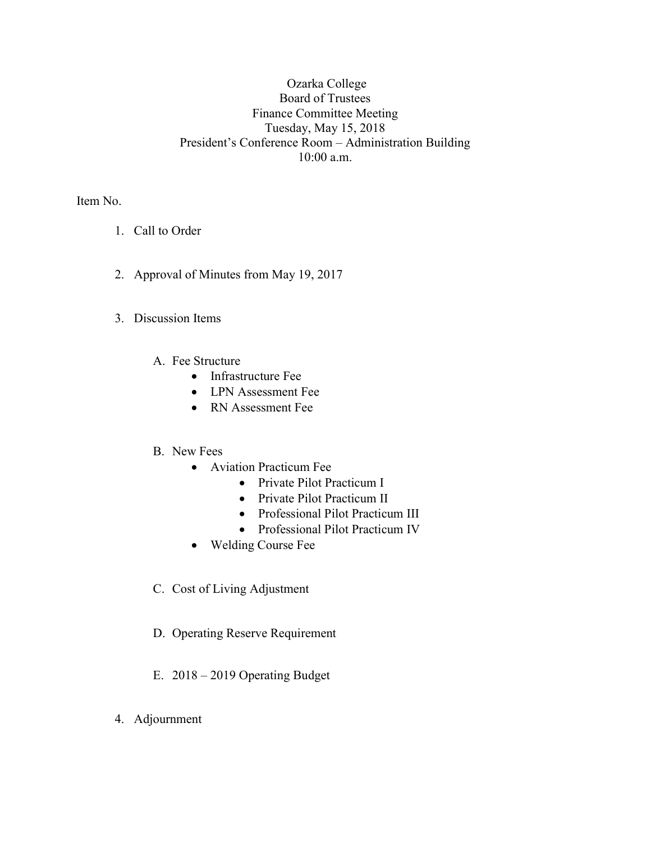## Ozarka College Board of Trustees Finance Committee Meeting Tuesday, May 15, 2018 President's Conference Room – Administration Building 10:00 a.m.

Item No.

- 1. Call to Order
- 2. Approval of Minutes from May 19, 2017
- 3. Discussion Items
	- A. Fee Structure
		- Infrastructure Fee
		- LPN Assessment Fee
		- RN Assessment Fee

## B. New Fees

- Aviation Practicum Fee
	- Private Pilot Practicum I
	- Private Pilot Practicum II
	- Professional Pilot Practicum III
	- Professional Pilot Practicum IV
- Welding Course Fee
- C. Cost of Living Adjustment
- D. Operating Reserve Requirement
- E. 2018 2019 Operating Budget
- 4. Adjournment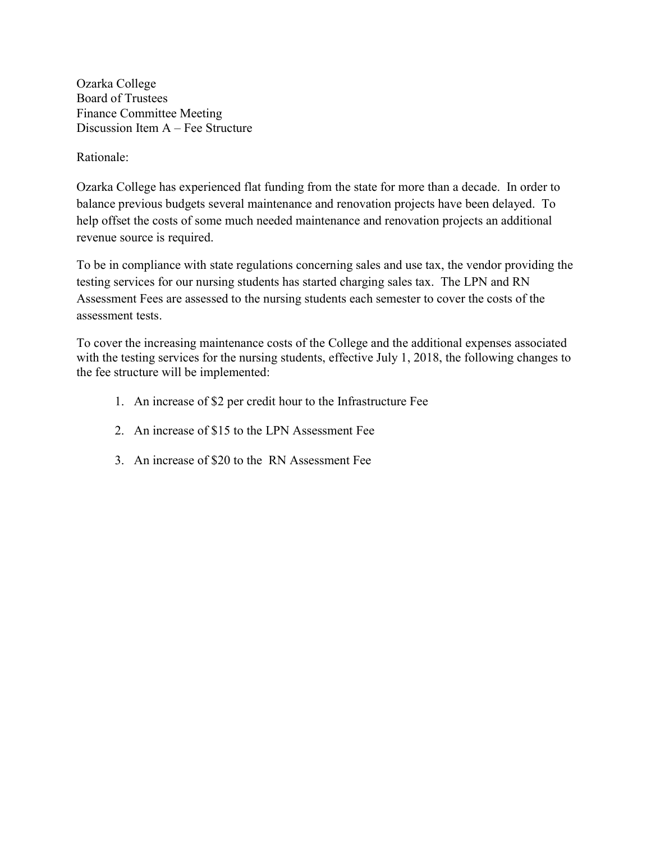Ozarka College Board of Trustees Finance Committee Meeting Discussion Item A – Fee Structure

Rationale:

Ozarka College has experienced flat funding from the state for more than a decade. In order to balance previous budgets several maintenance and renovation projects have been delayed. To help offset the costs of some much needed maintenance and renovation projects an additional revenue source is required.

To be in compliance with state regulations concerning sales and use tax, the vendor providing the testing services for our nursing students has started charging sales tax. The LPN and RN Assessment Fees are assessed to the nursing students each semester to cover the costs of the assessment tests.

To cover the increasing maintenance costs of the College and the additional expenses associated with the testing services for the nursing students, effective July 1, 2018, the following changes to the fee structure will be implemented:

- 1. An increase of \$2 per credit hour to the Infrastructure Fee
- 2. An increase of \$15 to the LPN Assessment Fee
- 3. An increase of \$20 to the RN Assessment Fee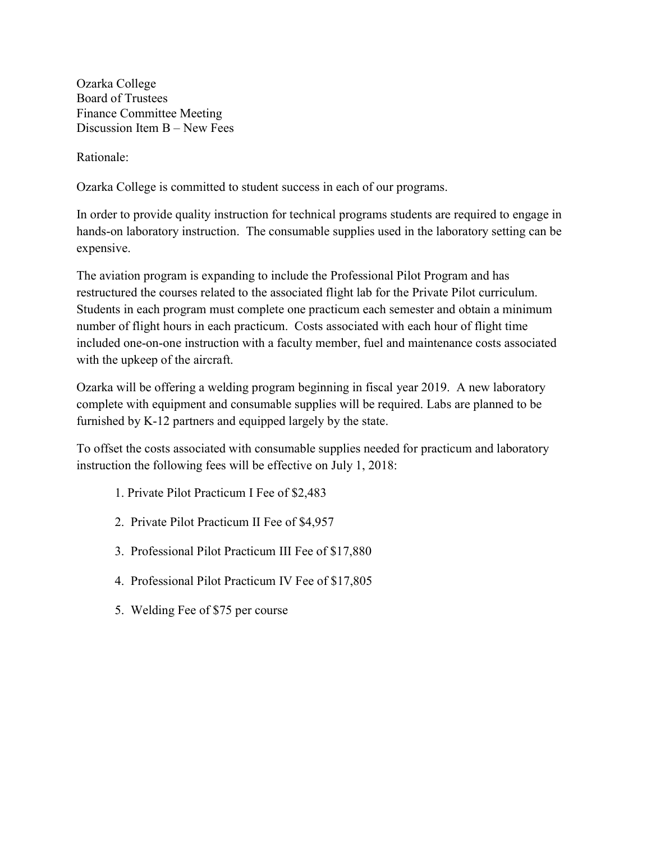Ozarka College Board of Trustees Finance Committee Meeting Discussion Item B – New Fees

Rationale:

Ozarka College is committed to student success in each of our programs.

In order to provide quality instruction for technical programs students are required to engage in hands-on laboratory instruction. The consumable supplies used in the laboratory setting can be expensive.

The aviation program is expanding to include the Professional Pilot Program and has restructured the courses related to the associated flight lab for the Private Pilot curriculum. Students in each program must complete one practicum each semester and obtain a minimum number of flight hours in each practicum. Costs associated with each hour of flight time included one-on-one instruction with a faculty member, fuel and maintenance costs associated with the upkeep of the aircraft.

Ozarka will be offering a welding program beginning in fiscal year 2019. A new laboratory complete with equipment and consumable supplies will be required. Labs are planned to be furnished by K-12 partners and equipped largely by the state.

To offset the costs associated with consumable supplies needed for practicum and laboratory instruction the following fees will be effective on July 1, 2018:

- 1. Private Pilot Practicum I Fee of \$2,483
- 2. Private Pilot Practicum II Fee of \$4,957
- 3. Professional Pilot Practicum III Fee of \$17,880
- 4. Professional Pilot Practicum IV Fee of \$17,805
- 5. Welding Fee of \$75 per course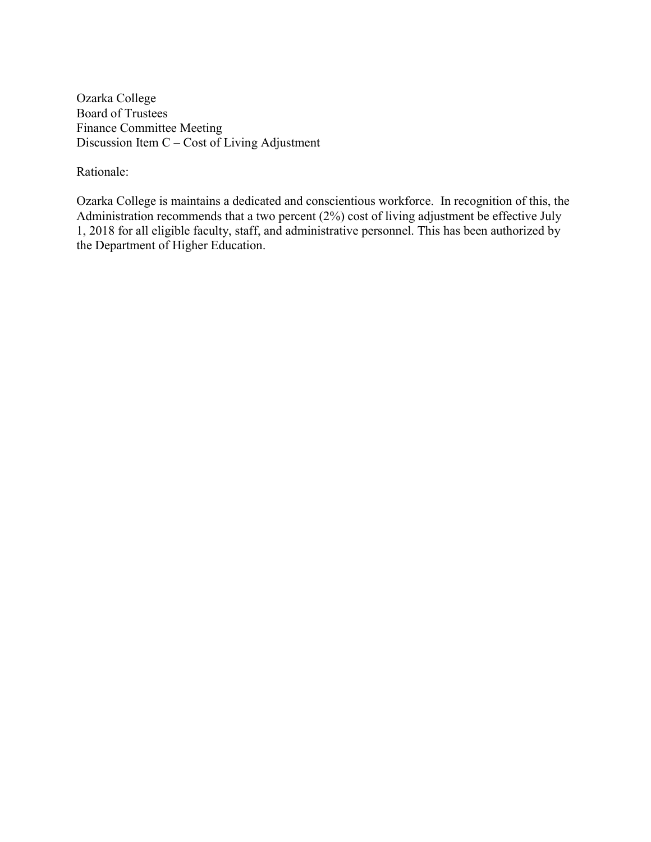Ozarka College Board of Trustees Finance Committee Meeting Discussion Item C – Cost of Living Adjustment

Rationale:

Ozarka College is maintains a dedicated and conscientious workforce. In recognition of this, the Administration recommends that a two percent (2%) cost of living adjustment be effective July 1, 2018 for all eligible faculty, staff, and administrative personnel. This has been authorized by the Department of Higher Education.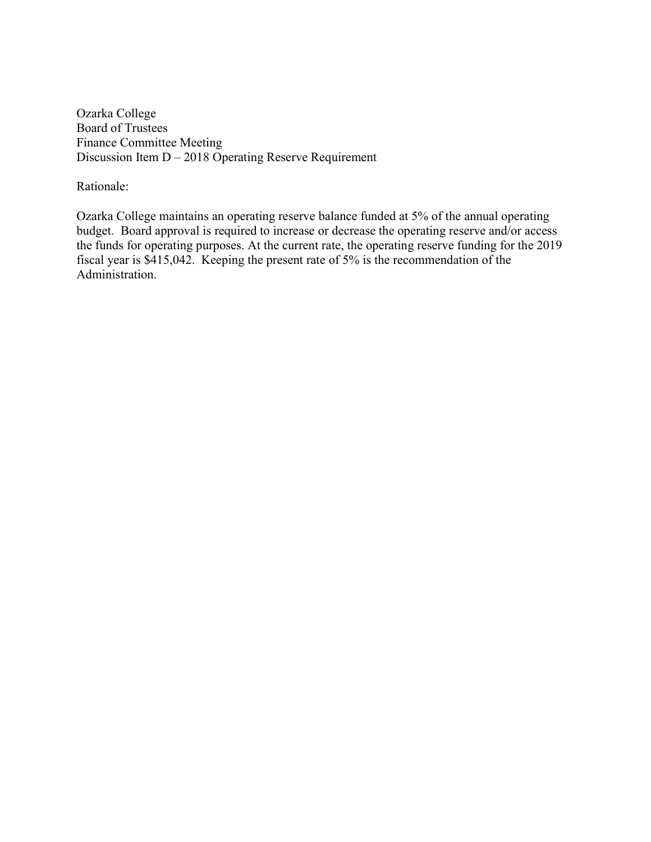Ozarka College Board of Trustees Finance Committee Meeting Discussion Item D – 2018 Operating Reserve Requirement

Rationale:

Ozarka College maintains an operating reserve balance funded at 5% of the annual operating budget. Board approval is required to increase or decrease the operating reserve and/or access the funds for operating purposes. At the current rate, the operating reserve funding for the 2019 fiscal year is \$415,042. Keeping the present rate of 5% is the recommendation of the Administration.